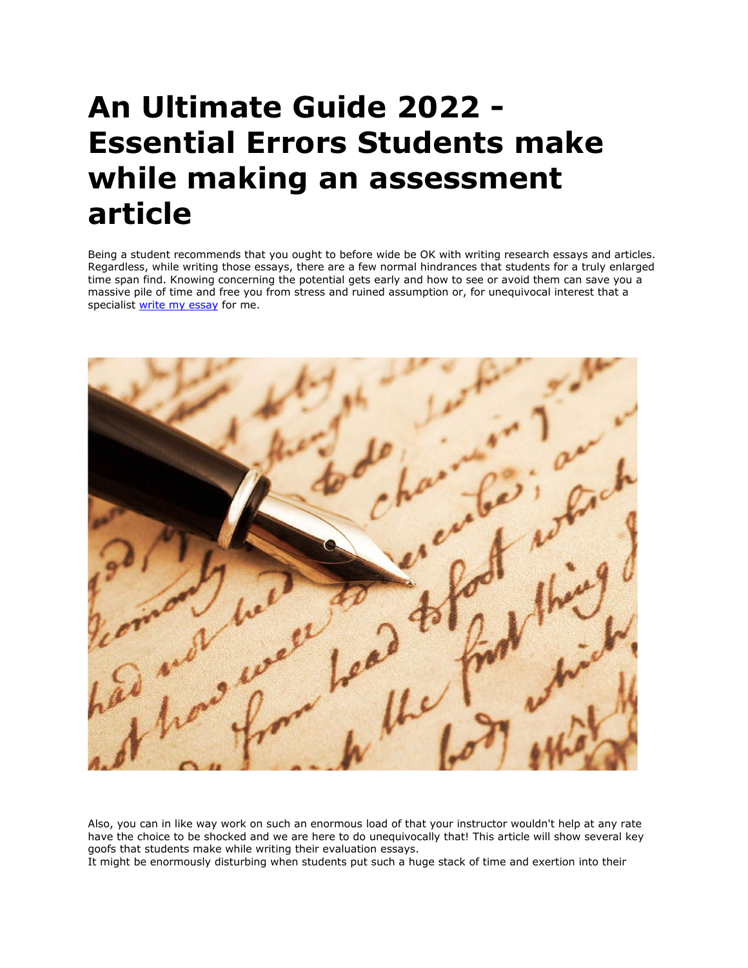# **An Ultimate Guide 2022 - Essential Errors Students make while making an assessment article**

Being a student recommends that you ought to before wide be OK with writing research essays and articles. Regardless, while writing those essays, there are a few normal hindrances that students for a truly enlarged time span find. Knowing concerning the potential gets early and how to see or avoid them can save you a massive pile of time and free you from stress and ruined assumption or, for unequivocal interest that a specialist [write my essay](https://writemyessayfast.net/) for me.



Also, you can in like way work on such an enormous load of that your instructor wouldn't help at any rate have the choice to be shocked and we are here to do unequivocally that! This article will show several key goofs that students make while writing their evaluation essays.

It might be enormously disturbing when students put such a huge stack of time and exertion into their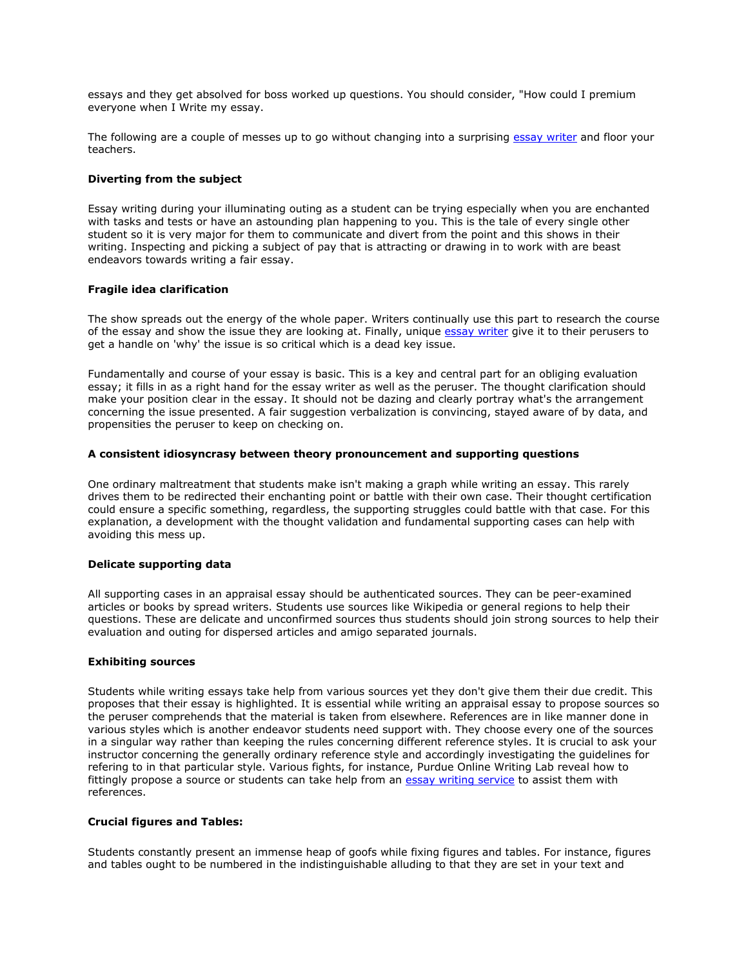essays and they get absolved for boss worked up questions. You should consider, "How could I premium everyone when I Write my essay.

The following are a couple of messes up to go without changing into a surprising [essay writer](https://essayhours.com/) and floor your teachers.

## **Diverting from the subject**

Essay writing during your illuminating outing as a student can be trying especially when you are enchanted with tasks and tests or have an astounding plan happening to you. This is the tale of every single other student so it is very major for them to communicate and divert from the point and this shows in their writing. Inspecting and picking a subject of pay that is attracting or drawing in to work with are beast endeavors towards writing a fair essay.

## **Fragile idea clarification**

The show spreads out the energy of the whole paper. Writers continually use this part to research the course of the essay and show the issue they are looking at. Finally, unique [essay writer](https://essaywriternow.com/) give it to their perusers to get a handle on 'why' the issue is so critical which is a dead key issue.

Fundamentally and course of your essay is basic. This is a key and central part for an obliging evaluation essay; it fills in as a right hand for the essay writer as well as the peruser. The thought clarification should make your position clear in the essay. It should not be dazing and clearly portray what's the arrangement concerning the issue presented. A fair suggestion verbalization is convincing, stayed aware of by data, and propensities the peruser to keep on checking on.

## **A consistent idiosyncrasy between theory pronouncement and supporting questions**

One ordinary maltreatment that students make isn't making a graph while writing an essay. This rarely drives them to be redirected their enchanting point or battle with their own case. Their thought certification could ensure a specific something, regardless, the supporting struggles could battle with that case. For this explanation, a development with the thought validation and fundamental supporting cases can help with avoiding this mess up.

#### **Delicate supporting data**

All supporting cases in an appraisal essay should be authenticated sources. They can be peer-examined articles or books by spread writers. Students use sources like Wikipedia or general regions to help their questions. These are delicate and unconfirmed sources thus students should join strong sources to help their evaluation and outing for dispersed articles and amigo separated journals.

#### **Exhibiting sources**

Students while writing essays take help from various sources yet they don't give them their due credit. This proposes that their essay is highlighted. It is essential while writing an appraisal essay to propose sources so the peruser comprehends that the material is taken from elsewhere. References are in like manner done in various styles which is another endeavor students need support with. They choose every one of the sources in a singular way rather than keeping the rules concerning different reference styles. It is crucial to ask your instructor concerning the generally ordinary reference style and accordingly investigating the guidelines for refering to in that particular style. Various fights, for instance, Purdue Online Writing Lab reveal how to fittingly propose a source or students can take help from an [essay writing service](https://www.essaywritingservice.college/) to assist them with references.

#### **Crucial figures and Tables:**

Students constantly present an immense heap of goofs while fixing figures and tables. For instance, figures and tables ought to be numbered in the indistinguishable alluding to that they are set in your text and